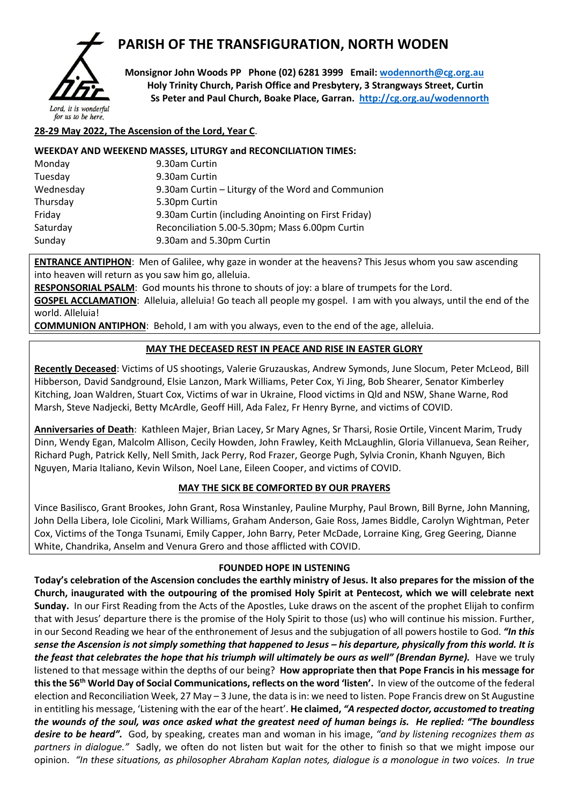

# **PARISH OF THE TRANSFIGURATION, NORTH WODEN**

 **Monsignor John Woods PP Phone (02) 6281 3999 Email: [wodennorth@cg.org.au](mailto:wodennorth@cg.org.au) Holy Trinity Church, Parish Office and Presbytery, 3 Strangways Street, Curtin Ss Peter and Paul Church, Boake Place, Garran. <http://cg.org.au/wodennorth>**

## for us to be here.

### **28-29 May 2022, The Ascension of the Lord, Year C**.

#### **WEEKDAY AND WEEKEND MASSES, LITURGY and RECONCILIATION TIMES:**

| 9.30am Curtin                                       |  |  |
|-----------------------------------------------------|--|--|
| 9.30am Curtin                                       |  |  |
| 9.30am Curtin – Liturgy of the Word and Communion   |  |  |
| 5.30pm Curtin                                       |  |  |
| 9.30am Curtin (including Anointing on First Friday) |  |  |
| Reconciliation 5.00-5.30pm; Mass 6.00pm Curtin      |  |  |
| 9.30am and 5.30pm Curtin                            |  |  |
|                                                     |  |  |

**ENTRANCE ANTIPHON**: Men of Galilee, why gaze in wonder at the heavens? This Jesus whom you saw ascending into heaven will return as you saw him go, alleluia.

**RESPONSORIAL PSALM**: God mounts his throne to shouts of joy: a blare of trumpets for the Lord.

**GOSPEL ACCLAMATION**: Alleluia, alleluia! Go teach all people my gospel. I am with you always, until the end of the world. Alleluia!

**COMMUNION ANTIPHON**: Behold, I am with you always, even to the end of the age, alleluia.

#### **MAY THE DECEASED REST IN PEACE AND RISE IN EASTER GLORY**

**Recently Deceased**: Victims of US shootings, Valerie Gruzauskas, Andrew Symonds, June Slocum, Peter McLeod, Bill Hibberson, David Sandground, Elsie Lanzon, Mark Williams, Peter Cox, Yi Jing, Bob Shearer, Senator Kimberley Kitching, Joan Waldren, Stuart Cox, Victims of war in Ukraine, Flood victims in Qld and NSW, Shane Warne, Rod Marsh, Steve Nadjecki, Betty McArdle, Geoff Hill, Ada Falez, Fr Henry Byrne, and victims of COVID.

**Anniversaries of Death**: Kathleen Majer, Brian Lacey, Sr Mary Agnes, Sr Tharsi, Rosie Ortile, Vincent Marim, Trudy Dinn, Wendy Egan, Malcolm Allison, Cecily Howden, John Frawley, Keith McLaughlin, Gloria Villanueva, Sean Reiher, Richard Pugh, Patrick Kelly, Nell Smith, Jack Perry, Rod Frazer, George Pugh, Sylvia Cronin, Khanh Nguyen, Bich Nguyen, Maria Italiano, Kevin Wilson, Noel Lane, Eileen Cooper, and victims of COVID.

#### **MAY THE SICK BE COMFORTED BY OUR PRAYERS**

Vince Basilisco, Grant Brookes, John Grant, Rosa Winstanley, Pauline Murphy, Paul Brown, Bill Byrne, John Manning, John Della Libera, Iole Cicolini, Mark Williams, Graham Anderson, Gaie Ross, James Biddle, Carolyn Wightman, Peter Cox, Victims of the Tonga Tsunami, Emily Capper, John Barry, Peter McDade, Lorraine King, Greg Geering, Dianne White, Chandrika, Anselm and Venura Grero and those afflicted with COVID.

#### **FOUNDED HOPE IN LISTENING**

**Today's celebration of the Ascension concludes the earthly ministry of Jesus. It also prepares for the mission of the Church, inaugurated with the outpouring of the promised Holy Spirit at Pentecost, which we will celebrate next Sunday.** In our First Reading from the Acts of the Apostles, Luke draws on the ascent of the prophet Elijah to confirm that with Jesus' departure there is the promise of the Holy Spirit to those (us) who will continue his mission. Further, in our Second Reading we hear of the enthronement of Jesus and the subjugation of all powers hostile to God. *"In this sense the Ascension is not simply something that happened to Jesus – his departure, physically from this world. It is the feast that celebrates the hope that his triumph will ultimately be ours as well" (Brendan Byrne).* Have we truly listened to that message within the depths of our being? **How appropriate then that Pope Francis in his message for thisthe 56th World Day of Social Communications, reflects on the word 'listen'.** In view of the outcome of the federal election and Reconciliation Week, 27 May – 3 June, the data is in: we need to listen. Pope Francis drew on St Augustine in entitling his message, 'Listening with the ear of the heart'. **He claimed,** *"A respected doctor, accustomed to treating the wounds of the soul, was once asked what the greatest need of human beings is. He replied: "The boundless desire to be heard".* God, by speaking, creates man and woman in his image, *"and by listening recognizes them as partners in dialogue."* Sadly, we often do not listen but wait for the other to finish so that we might impose our opinion. *"In these situations, as philosopher Abraham Kaplan notes, dialogue is a monologue in two voices. In true*